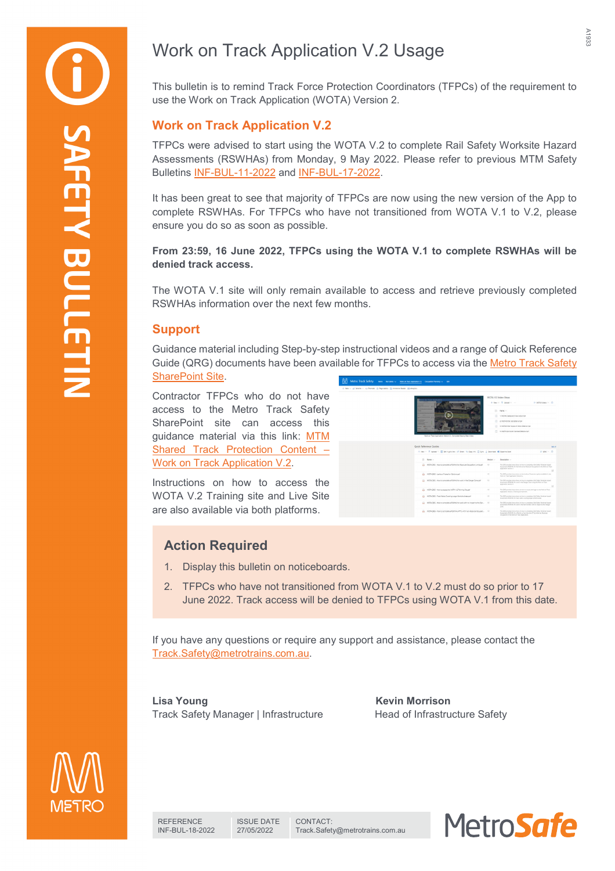# Work on Track Application V.2 Usage

This bulletin is to remind Track Force Protection Coordinators (TFPCs) of the requirement to use the Work on Track Application (WOTA) Version 2.

### **Work on Track Application V.2**

TFPCs were advised to start using the WOTA V.2 to complete Rail Safety Worksite Hazard Assessments (RSWHAs) from Monday, 9 May 2022. Please refer to previous MTM Safety Bulletins [INF-BUL-11-2022](https://cmsportal.metrotrains.com.au/docnum.aspx?id=A9421) and [INF-BUL-17-2022.](https://cmsportal.metrotrains.com.au/docnum.aspx?id=A9492)

It has been great to see that majority of TFPCs are now using the new version of the App to complete RSWHAs. For TFPCs who have not transitioned from WOTA V.1 to V.2, please ensure you do so as soon as possible.

### **From 23:59, 16 June 2022, TFPCs using the WOTA V.1 to complete RSWHAs will be denied track access.**

The WOTA V.1 site will only remain available to access and retrieve previously completed RSWHAs information over the next few months.

### **Support**

Guidance material including Step-by-step instructional videos and a range of Quick Reference Guide (QRG) documents have been available for TFPCs to access via the [Metro Track Safety](https://metrotrains.sharepoint.com/sites/MetroTrackSafety/SitePages/Work-on-Track-Application-V.2.aspx)  **[SharePoint Site.](https://metrotrains.sharepoint.com/sites/MetroTrackSafety/SitePages/Work-on-Track-Application-V.2.aspx)** 

Contractor TFPCs who do not have access to the Metro Track Safety SharePoint site can access this guidance material via this link: [MTM](https://www.dropbox.com/sh/9avpwfqsefbptvi/AAC_AkNre7KThfJP-W-53Kema?dl=0)  [Shared Track Protection Content –](https://www.dropbox.com/sh/9avpwfqsefbptvi/AAC_AkNre7KThfJP-W-53Kema?dl=0) [Work on Track Application V.2.](https://www.dropbox.com/sh/9avpwfqsefbptvi/AAC_AkNre7KThfJP-W-53Kema?dl=0)

Instructions on how to access the WOTA V.2 Training site and Live Site are also available via both platforms.

| York On Track Appl                                                                        | WOTA V2 Video Steps |                                                                                                                                                                                               |
|-------------------------------------------------------------------------------------------|---------------------|-----------------------------------------------------------------------------------------------------------------------------------------------------------------------------------------------|
|                                                                                           |                     | 4 New Y. F. Integer V. -<br>$=$ work views $\sim$ 00                                                                                                                                          |
|                                                                                           |                     | (1 Name -                                                                                                                                                                                     |
|                                                                                           |                     | [iii] 1. WOTA Create and View Jolts mp4.                                                                                                                                                      |
|                                                                                           |                     | (2) 2. WOTA timer Job Details mp4                                                                                                                                                             |
|                                                                                           |                     | (4) 3. WOTA Enter Scope of Work Details mo4                                                                                                                                                   |
|                                                                                           |                     | (2) 4. WOTA Controller Contact Details mp4                                                                                                                                                    |
| + Nex - F Upond - El patiencrytow in Start - Copyring (2 Sec - 2 Download 40 Doortholder) |                     | $=$ 0% $-$ 0                                                                                                                                                                                  |
|                                                                                           |                     |                                                                                                                                                                                               |
| $D$ Name $\sim$                                                                           | <b>Version 1-1</b>  | Description ~                                                                                                                                                                                 |
| 2 WOTA ORG - How to complete a RSWHA for Absolute Octubetion Units pdf                    | 10                  | This QRC provides incloud/one on how to complete a Tall Safety Workshe Hazard<br>Associated 2020 of the the brits of an Nosdate Dougation in the Work on Track.<br><b>Bashatine Metion 2.</b> |
| 2 WOTA ORD - Leokout Protection Options.pdf                                               | 10 <sup>2</sup>     | e<br>This GMC revolting immunitions are that Looking Democrátic partiers appliable in the<br>your or had Australian become 2.                                                                 |
| Co., WOTA ORS - How to complete a 93/6/48 for york in the Danser Zone off                 | 1.0                 | This ORD provides instructions on how to complete a flait Satury monitor inspect.<br>Assessment (\$500-00 for excit in the Danger Zone using the Work on Track<br>Application literature 2    |
| 23 VICTA ORC - How to access the WOTA V.2 Training Shazer                                 | 18                  | B<br>This ORD provides increasings on how to access and login to the Vibri on Track<br>Application hardon 2 Training Gminghmant.                                                              |
| Co. WOTA ORG - Track Walks Covering Large Worksha Areas pot                               | 18.0                | This CEO remains immunices on how to constitute a flat Safery Woming Hanged<br>Assessment (ASANA) for track walks covering large nonfolite areas.                                             |
| CL WOTA ORG - How to complete a RSWAS for work with no lingect to the Can., 1.1-          |                     | This ORD provides instructions on how to complete a Rall Safety Workshe Hacker?<br>Assessment AT/2010 for unit in the Tall Centalor with no immun to the Canasar<br>Down.                     |

## **Action Required**

- 1. Display this bulletin on noticeboards.
- 2. TFPCs who have not transitioned from WOTA V.1 to V.2 must do so prior to 17 June 2022. Track access will be denied to TFPCs using WOTA V.1 from this date.

If you have any questions or require any support and assistance, please contact the [Track.Safety@metrotrains.com.au.](mailto:Track.Safety@metrotrains.com.au)

**Lisa Young Kevin Morrison** Track Safety Manager | Infrastructure Head of Infrastructure Safety